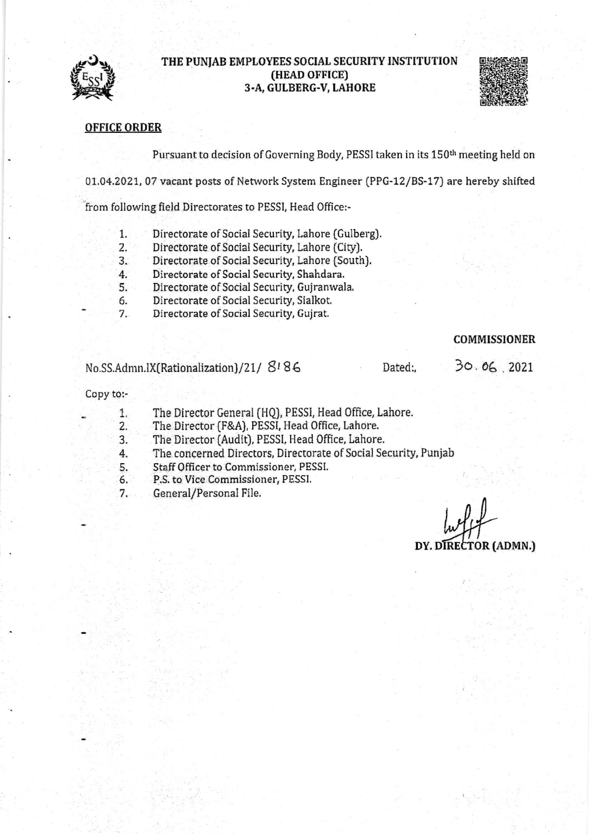

## THE PUNJAB EMPLOYEES SOCIAL SECURITY INSTITUTION (HEAD OFFICE) 3.A, GULBERG.V, LAHORE



## OFFICE ORDER

Pursuant to decision of Governing Body, PESSI taken in its 150<sup>th</sup> meeting held on

01.04.2021, 07 vacant posts of Network System Engineer (PPG-12/BS-17) are hereby shifted

from following field Directorates to PESSI, Head 0ffice:-

- Directorate of Social Security, Lahore (Gulberg). 1.
- Directorate of Social Security, Lahore (City]. 2.
- Directorate of Social Security, Lahore (South). 3.
- Directorate of Social Security, Shahdara.  $4.$
- 5. Directorate of Social Security, Gujranwala.
- Directorate of Social Securiry, Sialkot. 6.
- Directorate of Social Security, Gujrat. 7.

## COMMISSIONER

No.SS.Admn.IX(Rationalization)/21/ $8186$ 

Dated:,

 $30.06$ , 2021

#### Copy to:-

- 1. The Director General (HQJ, PESSI, Head Office, Lahore.
- 2. The Director (F&A), PESSI, Head 0ffice, Lahore,
- 3. The Director (Audit), PESSI, Head 0ffice, Lahore.
- 4. The concerned Directors, Directorate of Social Security, Punjab
- 5. Staff Officer to Commissioner, PESSI.
- 6. P.S. to Vice Commissioner, PESSI.
- 7. General/Personal File,

DY. DIRECTOR (ADMN.)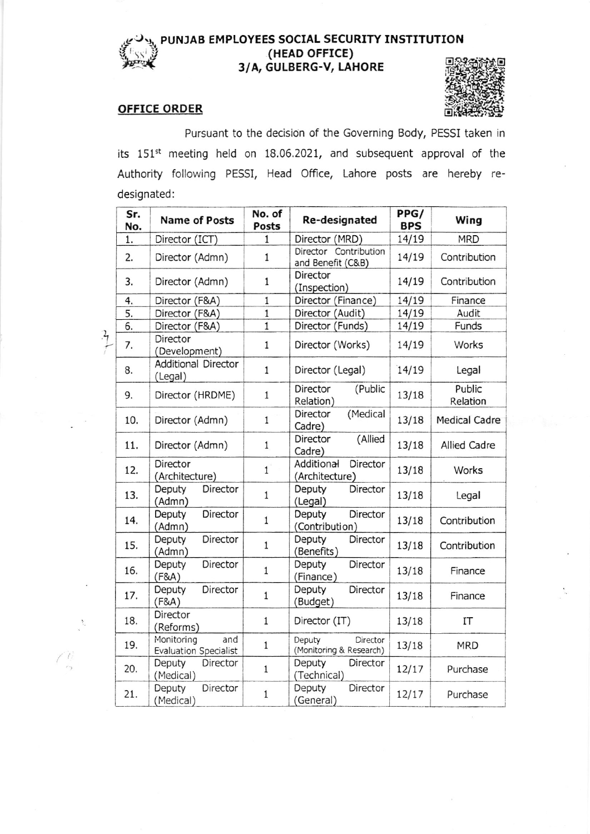# ، پيدا تسمي<br>فرانستان 'hlw

 $\bigwedge_{\gamma} \bigwedge_{\gamma}$ 

## PUNJAB EMPLOYEES SOCIAL SECURITY INSTITUTION (HEAD OFFICE) 3/A, GULBERG-V, LAHORE

## OFFICE ORDER



Pursuant to the decision of the Governing Body, PESSI taken in its 151<sup>st</sup> meeting held on 18.06.2021, and subsequent approval of the Authority following PESSI, Head Office, Lahore posts are hereby redesignated:

|               | Sr.<br>No. | Name of Posts                                     | No. of<br>Posts | Re-designated                                 | PPG/<br><b>BPS</b> | Wing                 |
|---------------|------------|---------------------------------------------------|-----------------|-----------------------------------------------|--------------------|----------------------|
|               | 1.         | Director (ICT)                                    | $\mathbf{1}$    | Director (MRD)                                | 14/19              | <b>MRD</b>           |
|               | 2.         | Director (Admn)                                   | $\mathbf{1}$    | Director Contribution<br>and Benefit (C&B)    | 14/19              | Contribution         |
|               | 3.         | Director (Admn)                                   | $\mathbf{1}$    | Director<br>(Inspection)                      | 14/19              | Contribution         |
|               | 4.         | Director (F&A)                                    | $\mathbf{1}$    | Director (Finance)                            | 14/19              | Finance              |
|               | 5.         | Director (F&A)                                    | $\mathbf{1}$    | Director (Audit)                              | 14/19              | Audit                |
|               | 6.         | Director (F&A)                                    | $\overline{1}$  | Director (Funds)                              | 14/19              | Funds                |
| $\frac{1}{7}$ | 7.         | Director<br>(Development)                         | $1\,$           | Director (Works)                              | 14/19              | Works                |
|               | 8.         | <b>Additional Director</b><br>(Legal)             | $\mathbf{1}$    | Director (Legal)                              | 14/19              | Legal                |
|               | 9.         | Director (HRDME)                                  | $\mathbf{1}$    | (Public<br>Director<br>Relation)              | 13/18              | Public<br>Relation   |
|               | 10.        | Director (Admn)                                   | $\mathbf{1}$    | (Medical<br>Director<br>Cadre)                | 13/18              | <b>Medical Cadre</b> |
|               | 11.        | Director (Admn)                                   | $\mathbf{1}$    | (Allied<br>Director<br>Cadre)                 | 13/18              | Allied Cadre         |
|               | 12.        | Director<br>(Architecture)                        | $\mathbf{1}$    | Additional<br>Director<br>(Architecture)      | 13/18              | Works                |
|               | 13.        | Deputy<br>Director<br>(Admn)                      | $\mathbf{1}$    | Deputy<br>Director<br>(Legal)                 | 13/18              | Legal                |
|               | 14.        | Director<br>Deputy<br>(Admn)                      | $\mathbf{1}$    | Deputy<br>Director<br>(Contribution)          | 13/18              | Contribution         |
|               | 15.        | Director<br>Deputy<br>(Admn)                      | $\mathbf{1}$    | Deputy<br>Director<br>(Benefits)              | 13/18              | Contribution         |
|               | 16.        | Director<br>Deputy<br>(F8A)                       | $1\,$           | Deputy<br>Director<br>(Finance)               | 13/18              | Finance              |
|               | 17.        | Director<br>Deputy<br>(F8A)                       | $\mathbf{1}$    | Director<br>Deputy<br>(Budget)                | 13/18              | Finance              |
|               | 18.        | Director<br>(Reforms)                             | $\mathbf{1}$    | Director (IT)                                 | 13/18              | IT                   |
|               | 19.        | Monitoring<br>and<br><b>Evaluation Specialist</b> | $\mathbf{1}$    | Deputy<br>Director<br>(Monitoring & Research) | 13/18              | <b>MRD</b>           |
|               | 20.        | Deputy<br>Director<br>(Medical)                   | $\mathbf{1}$    | Deputy<br>Director<br>(Technical)             | 12/17              | Purchase             |
|               | 21.        | Director<br>Deputy<br>(Medical)                   | $1\,$           | Deputy<br>Director<br>(General)               | 12/17              | Purchase             |